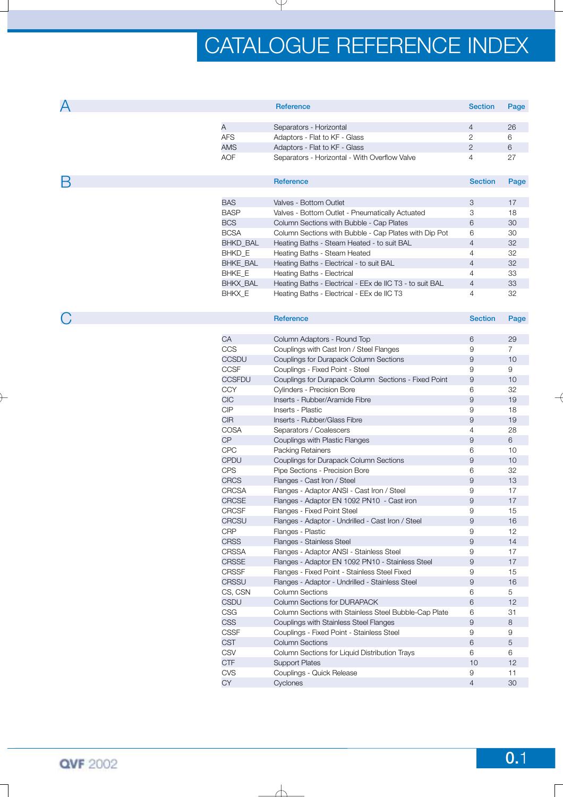| А |                 | Reference                                                | <b>Section</b> | Page           |
|---|-----------------|----------------------------------------------------------|----------------|----------------|
|   |                 |                                                          |                |                |
|   | A               | Separators - Horizontal                                  | $\overline{4}$ | 26             |
|   | <b>AFS</b>      | Adaptors - Flat to KF - Glass                            | 2              | 6              |
|   | <b>AMS</b>      | Adaptors - Flat to KF - Glass                            | 2              | 6              |
|   | <b>AOF</b>      | Separators - Horizontal - With Overflow Valve            | $\overline{4}$ | 27             |
|   |                 |                                                          |                |                |
| Β |                 | <b>Reference</b>                                         | <b>Section</b> | Page           |
|   |                 |                                                          |                |                |
|   | <b>BAS</b>      | Valves - Bottom Outlet                                   | 3              | 17             |
|   | <b>BASP</b>     | Valves - Bottom Outlet - Pneumatically Actuated          | 3              | 18             |
|   | <b>BCS</b>      | Column Sections with Bubble - Cap Plates                 | 6              | 30             |
|   | <b>BCSA</b>     | Column Sections with Bubble - Cap Plates with Dip Pot    | 6              | 30             |
|   | <b>BHKD BAL</b> | Heating Baths - Steam Heated - to suit BAL               | $\overline{4}$ | 32             |
|   | BHKD_E          | Heating Baths - Steam Heated                             | 4              | 32             |
|   | <b>BHKE BAL</b> | Heating Baths - Electrical - to suit BAL                 | 4              | 32             |
|   | <b>BHKE E</b>   | Heating Baths - Electrical                               | 4              | 33             |
|   | <b>BHKX BAL</b> | Heating Baths - Electrical - EEx de IIC T3 - to suit BAL | $\overline{4}$ | 33             |
|   | <b>BHKX E</b>   | Heating Baths - Electrical - EEx de IIC T3               | 4              | 32             |
| C |                 | Reference                                                | <b>Section</b> |                |
|   |                 |                                                          |                | Page           |
|   | CA              | Column Adaptors - Round Top                              | 6              | 29             |
|   | CCS             | Couplings with Cast Iron / Steel Flanges                 | 9              | $\overline{7}$ |
|   | <b>CCSDU</b>    | Couplings for Durapack Column Sections                   | 9              | 10             |
|   | <b>CCSF</b>     | Couplings - Fixed Point - Steel                          | 9              | 9              |
|   | <b>CCSFDU</b>   | Couplings for Durapack Column Sections - Fixed Point     | 9              | 10             |
|   | <b>CCY</b>      | Cylinders - Precision Bore                               | 6              | 32             |
|   | <b>CIC</b>      | Inserts - Rubber/Aramide Fibre                           | 9              | 19             |
|   |                 |                                                          |                |                |

| CCS           | Couplings with Cast Iron / Steel Flanges              | 9              | 7  |
|---------------|-------------------------------------------------------|----------------|----|
| <b>CCSDU</b>  | Couplings for Durapack Column Sections                | 9              | 10 |
| <b>CCSF</b>   | Couplings - Fixed Point - Steel                       | 9              | 9  |
| <b>CCSFDU</b> | Couplings for Durapack Column Sections - Fixed Point  | 9              | 10 |
| <b>CCY</b>    | Cylinders - Precision Bore                            | 6              | 32 |
| <b>CIC</b>    | Inserts - Rubber/Aramide Fibre                        | $\mathsf g$    | 19 |
| CIP           | Inserts - Plastic                                     | 9              | 18 |
| <b>CIR</b>    | Inserts - Rubber/Glass Fibre                          | 9              | 19 |
| <b>COSA</b>   | Separators / Coalescers                               | $\overline{4}$ | 28 |
| <b>CP</b>     | Couplings with Plastic Flanges                        | 9              | 6  |
| <b>CPC</b>    | <b>Packing Retainers</b>                              | 6              | 10 |
| <b>CPDU</b>   | Couplings for Durapack Column Sections                | 9              | 10 |
| <b>CPS</b>    | Pipe Sections - Precision Bore                        | 6              | 32 |
| <b>CRCS</b>   | Flanges - Cast Iron / Steel                           | 9              | 13 |
| <b>CRCSA</b>  | Flanges - Adaptor ANSI - Cast Iron / Steel            | 9              | 17 |
| <b>CRCSE</b>  | Flanges - Adaptor EN 1092 PN10 - Cast iron            | 9              | 17 |
| <b>CRCSF</b>  | Flanges - Fixed Point Steel                           | 9              | 15 |
| <b>CRCSU</b>  | Flanges - Adaptor - Undrilled - Cast Iron / Steel     | 9              | 16 |
| <b>CRP</b>    | Flanges - Plastic                                     | 9              | 12 |
| <b>CRSS</b>   | Flanges - Stainless Steel                             | 9              | 14 |
| <b>CRSSA</b>  | Flanges - Adaptor ANSI - Stainless Steel              | 9              | 17 |
| <b>CRSSE</b>  | Flanges - Adaptor EN 1092 PN10 - Stainless Steel      | 9              | 17 |
| <b>CRSSF</b>  | Flanges - Fixed Point - Stainless Steel Fixed         | 9              | 15 |
| <b>CRSSU</b>  | Flanges - Adaptor - Undrilled - Stainless Steel       | 9              | 16 |
| CS, CSN       | Column Sections                                       | 6              | 5  |
| <b>CSDU</b>   | <b>Column Sections for DURAPACK</b>                   | 6              | 12 |
| CSG           | Column Sections with Stainless Steel Bubble-Cap Plate | 6              | 31 |
| <b>CSS</b>    | Couplings with Stainless Steel Flanges                | 9              | 8  |
| <b>CSSF</b>   | Couplings - Fixed Point - Stainless Steel             | 9              | 9  |
| <b>CST</b>    | <b>Column Sections</b>                                | 6              | 5  |
| <b>CSV</b>    | Column Sections for Liquid Distribution Trays         | 6              | 6  |
| <b>CTF</b>    | <b>Support Plates</b>                                 | 10             | 12 |
| CVS           | Couplings - Quick Release                             | 9              | 11 |
| CY            | Cyclones                                              | $\overline{4}$ | 30 |
|               |                                                       |                |    |

A **Reference Section Page**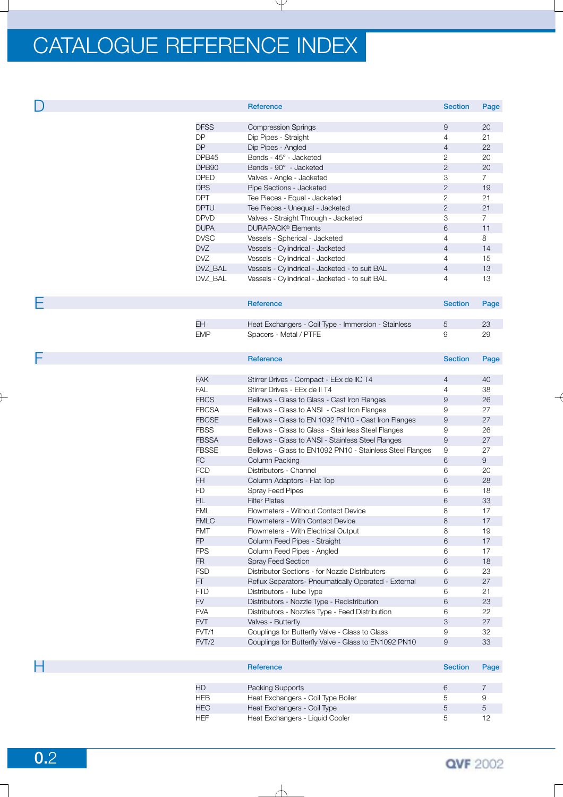|             | Reference                                           | <b>Section</b> | Page           |
|-------------|-----------------------------------------------------|----------------|----------------|
|             |                                                     |                |                |
| <b>DFSS</b> | <b>Compression Springs</b>                          | 9              | 20             |
| <b>DP</b>   | Dip Pipes - Straight                                | 4              | 21             |
| <b>DP</b>   | Dip Pipes - Angled                                  | 4              | 22             |
| DPB45       | Bends - 45° - Jacketed                              | 2              | 20             |
| DPB90       | Bends - 90° - Jacketed                              | $\mathbf{2}$   | 20             |
| <b>DPED</b> | Valves - Angle - Jacketed                           | 3              | $\overline{7}$ |
| <b>DPS</b>  | Pipe Sections - Jacketed                            | $\overline{c}$ | 19             |
| <b>DPT</b>  | Tee Pieces - Equal - Jacketed                       | $\overline{2}$ | 21             |
| <b>DPTU</b> | Tee Pieces - Unequal - Jacketed                     | $\mathbf{2}$   | 21             |
| <b>DPVD</b> | Valves - Straight Through - Jacketed                | 3              | $\overline{7}$ |
| <b>DUPA</b> | <b>DURAPACK<sup>®</sup></b> Elements                | 6              | 11             |
| <b>DVSC</b> | Vessels - Spherical - Jacketed                      | 4              | 8              |
| DVZ         | Vessels - Cylindrical - Jacketed                    | $\overline{4}$ | 14             |
| DVZ         | Vessels - Cylindrical - Jacketed                    | 4              | 15             |
| DVZ_BAL     | Vessels - Cylindrical - Jacketed - to suit BAL      | $\overline{4}$ | 13             |
| DVZ_BAL     | Vessels - Cylindrical - Jacketed - to suit BAL      | 4              | 13             |
|             |                                                     |                |                |
|             | Reference                                           | <b>Section</b> | Page           |
|             |                                                     |                |                |
| <b>EH</b>   | Heat Exchangers - Coil Type - Immersion - Stainless | 5              | 23             |
| <b>EMP</b>  | Spacers - Metal / PTFE                              | 9              | 29             |
|             |                                                     |                |                |

F **Reference Section Page**

| <b>FAK</b>   | Stirrer Drives - Compact - EEx de IIC T4                 | 4 | 40 |
|--------------|----------------------------------------------------------|---|----|
| <b>FAL</b>   | Stirrer Drives - EEx de II T4                            | 4 | 38 |
| <b>FBCS</b>  | Bellows - Glass to Glass - Cast Iron Flanges             | 9 | 26 |
| <b>FBCSA</b> | Bellows - Glass to ANSI - Cast Iron Flanges              | 9 | 27 |
| <b>FBCSE</b> | Bellows - Glass to EN 1092 PN10 - Cast Iron Flanges      | 9 | 27 |
| <b>FBSS</b>  | Bellows - Glass to Glass - Stainless Steel Flanges       | 9 | 26 |
| <b>FBSSA</b> | Bellows - Glass to ANSI - Stainless Steel Flanges        | 9 | 27 |
| <b>FBSSE</b> | Bellows - Glass to EN1092 PN10 - Stainless Steel Flanges | 9 | 27 |
| <b>FC</b>    | Column Packing                                           | 6 | 9  |
| <b>FCD</b>   | Distributors - Channel                                   | 6 | 20 |
| FH.          | Column Adaptors - Flat Top                               | 6 | 28 |
| <b>FD</b>    | <b>Spray Feed Pipes</b>                                  | 6 | 18 |
| <b>FIL</b>   | <b>Filter Plates</b>                                     | 6 | 33 |
| <b>FML</b>   | Flowmeters - Without Contact Device                      | 8 | 17 |
| <b>FMLC</b>  | Flowmeters - With Contact Device                         | 8 | 17 |
| <b>FMT</b>   | Flowmeters - With Electrical Output                      | 8 | 19 |
| <b>FP</b>    | Column Feed Pipes - Straight                             | 6 | 17 |
| <b>FPS</b>   | Column Feed Pipes - Angled                               | 6 | 17 |
| <b>FR</b>    | <b>Spray Feed Section</b>                                | 6 | 18 |
| <b>FSD</b>   | Distributor Sections - for Nozzle Distributors           | 6 | 23 |
| FT.          | Reflux Separators- Pneumatically Operated - External     | 6 | 27 |
| <b>FTD</b>   | Distributors - Tube Type                                 | 6 | 21 |
| <b>FV</b>    | Distributors - Nozzle Type - Redistribution              | 6 | 23 |
| <b>FVA</b>   | Distributors - Nozzles Type - Feed Distribution          | 6 | 22 |
| <b>FVT</b>   | Valves - Butterfly                                       | 3 | 27 |
| FVT/1        | Couplings for Butterfly Valve - Glass to Glass           | 9 | 32 |
| FVT/2        | Couplings for Butterfly Valve - Glass to EN1092 PN10     | 9 | 33 |

| Н |            | Reference                          | <b>Section</b> | Page |
|---|------------|------------------------------------|----------------|------|
|   |            |                                    |                |      |
|   | <b>HD</b>  | Packing Supports                   | 6              |      |
|   | <b>HEB</b> | Heat Exchangers - Coil Type Boiler | 5              | У    |
|   | <b>HEC</b> | Heat Exchangers - Coil Type        | 5              | 5    |
|   | <b>HEF</b> | Heat Exchangers - Liquid Cooler    | 5.             |      |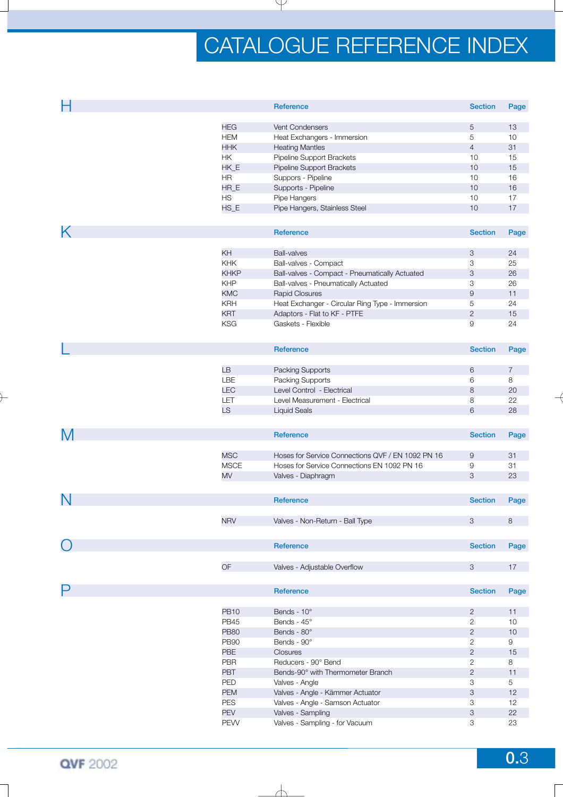| Н                 |             | <b>Reference</b>                                  | <b>Section</b>   | Page           |
|-------------------|-------------|---------------------------------------------------|------------------|----------------|
|                   |             |                                                   |                  |                |
|                   | <b>HEG</b>  | Vent Condensers                                   | $\overline{5}$   | 13             |
|                   | <b>HEM</b>  | Heat Exchangers - Immersion                       | 5                | 10             |
|                   | <b>HHK</b>  | <b>Heating Mantles</b>                            | $\overline{4}$   | 31             |
|                   | HK          | Pipeline Support Brackets                         | 10               | 15             |
|                   | HK_E        | Pipeline Support Brackets                         | 10               | 15             |
|                   | <b>HR</b>   | Suppors - Pipeline                                | 10               | 16             |
|                   | HR_E        | Supports - Pipeline                               | 10               | 16             |
|                   | <b>HS</b>   | Pipe Hangers                                      | 10               | 17             |
|                   | $HS_E$      | Pipe Hangers, Stainless Steel                     | 10               | 17             |
|                   |             |                                                   |                  |                |
| Κ                 |             | Reference                                         | <b>Section</b>   | Page           |
|                   |             |                                                   |                  |                |
|                   | KH          | <b>Ball-valves</b>                                | 3                | 24             |
|                   | <b>KHK</b>  | Ball-valves - Compact                             | 3                | 25             |
|                   | <b>KHKP</b> | Ball-valves - Compact - Pneumatically Actuated    | 3                | 26             |
|                   | <b>KHP</b>  | Ball-valves - Pneumatically Actuated              | 3                | 26             |
|                   | <b>KMC</b>  | <b>Rapid Closures</b>                             | $\boldsymbol{9}$ | 11             |
|                   | <b>KRH</b>  | Heat Exchanger - Circular Ring Type - Immersion   | $\,$ 5 $\,$      | 24             |
|                   | <b>KRT</b>  | Adaptors - Flat to KF - PTFE                      | $\sqrt{2}$       | 15             |
|                   | <b>KSG</b>  | Gaskets - Flexible                                | 9                | 24             |
|                   |             |                                                   |                  |                |
|                   |             | <b>Reference</b>                                  | <b>Section</b>   | Page           |
|                   |             |                                                   |                  |                |
|                   | <b>LB</b>   | Packing Supports                                  | 6                | $\overline{7}$ |
|                   | LBE         | Packing Supports                                  | 6                | 8              |
|                   | <b>LEC</b>  | Level Control - Electrical                        | 8                | 20             |
|                   | LET         | Level Measurement - Electrical                    | 8                | 22             |
|                   | LS          | <b>Liquid Seals</b>                               | 6                | 28             |
|                   |             |                                                   |                  |                |
| M                 |             | Reference                                         | <b>Section</b>   | Page           |
|                   |             |                                                   |                  |                |
|                   | <b>MSC</b>  | Hoses for Service Connections QVF / EN 1092 PN 16 | $\overline{9}$   | 31             |
|                   | <b>MSCE</b> | Hoses for Service Connections EN 1092 PN 16       | 9                | 31             |
|                   | MV          | Valves - Diaphragm                                | 3                | 23             |
|                   |             |                                                   |                  |                |
| N                 |             | Reference                                         | <b>Section</b>   | Page           |
|                   |             |                                                   |                  |                |
|                   | <b>NRV</b>  | Valves - Non-Return - Ball Type                   | 3                | 8              |
|                   |             |                                                   |                  |                |
| $\left(\ \right)$ |             | Reference                                         | <b>Section</b>   | Page           |
|                   |             |                                                   |                  |                |
|                   | OF          | Valves - Adjustable Overflow                      | 3                | 17             |
|                   |             |                                                   |                  |                |
| Ρ                 |             | Reference                                         | <b>Section</b>   | Page           |
|                   |             |                                                   |                  |                |
|                   | <b>PB10</b> | Bends - 10°                                       | $\mathbf{2}$     | 11             |
|                   | <b>PB45</b> | Bends - 45°                                       | $\mathbf{2}$     | 10             |
|                   | <b>PB80</b> | Bends - 80°                                       | $\overline{c}$   | 10             |
|                   | <b>PB90</b> | Bends - 90°                                       | $\overline{c}$   | 9              |
|                   | <b>PBE</b>  | <b>Closures</b>                                   | $\mathbf{2}$     | 15             |
|                   | PBR         | Reducers - 90° Bend                               | $\mathbf{2}$     | 8              |
|                   | PBT         | Bends-90° with Thermometer Branch                 | $\mathbf{2}$     | 11             |
|                   | PED         | Valves - Angle                                    | 3                | 5              |
|                   | <b>PEM</b>  | Valves - Angle - Kämmer Actuator                  | 3                | 12             |
|                   | <b>PES</b>  | Valves - Angle - Samson Actuator                  | 3                | 12             |
|                   | <b>PEV</b>  | Valves - Sampling                                 | 3                | 22             |
|                   | PEW         | Valves - Sampling - for Vacuum                    |                  |                |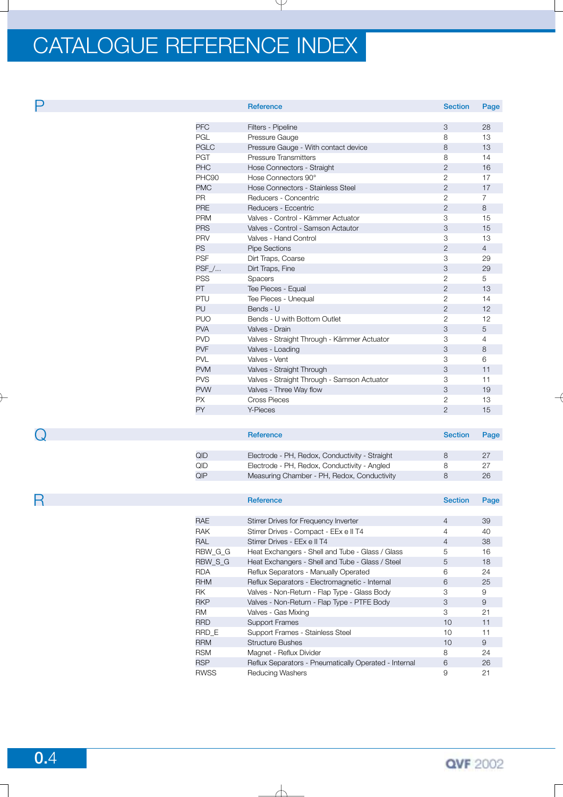|                | Reference                                   | <b>Section</b> | Page           |
|----------------|---------------------------------------------|----------------|----------------|
|                |                                             |                |                |
| <b>PFC</b>     | Filters - Pipeline                          | 3              | 28             |
| <b>PGL</b>     | Pressure Gauge                              | 8              | 13             |
| <b>PGLC</b>    | Pressure Gauge - With contact device        | 8              | 13             |
| <b>PGT</b>     | <b>Pressure Transmitters</b>                | 8              | 14             |
| <b>PHC</b>     | Hose Connectors - Straight                  | $\overline{2}$ | 16             |
| PHC90          | Hose Connectors 90°                         | $\overline{2}$ | 17             |
| <b>PMC</b>     | Hose Connectors - Stainless Steel           | $\mathbf{2}$   | 17             |
| <b>PR</b>      | Reducers - Concentric                       | 2              | $\overline{7}$ |
| <b>PRE</b>     | Reducers - Eccentric                        | $\mathbf{2}$   | 8              |
| <b>PRM</b>     | Valves - Control - Kämmer Actuator          | 3              | 15             |
| <b>PRS</b>     | Valves - Control - Samson Actautor          | 3              | 15             |
| <b>PRV</b>     | Valves - Hand Control                       | 3              | 13             |
| <b>PS</b>      | <b>Pipe Sections</b>                        | $\overline{2}$ | $\overline{4}$ |
| <b>PSF</b>     | Dirt Traps, Coarse                          | 3              | 29             |
| $PSF$ $\ldots$ | Dirt Traps, Fine                            | 3              | 29             |
| <b>PSS</b>     | <b>Spacers</b>                              | $\mathbf{2}$   | 5              |
| <b>PT</b>      | Tee Pieces - Equal                          | $\overline{2}$ | 13             |
| PTU            | Tee Pieces - Unequal                        | 2              | 14             |
| <b>PU</b>      | Bends - U                                   | 2              | 12             |
| <b>PUO</b>     | Bends - U with Bottom Outlet                | $\mathbf{2}$   | 12             |
| <b>PVA</b>     | Valves - Drain                              | 3              | 5              |
| <b>PVD</b>     | Valves - Straight Through - Kämmer Actuator | 3              | $\overline{4}$ |
| <b>PVF</b>     | Valves - Loading                            | 3              | 8              |
| <b>PVL</b>     | Valves - Vent                               | 3              | 6              |
| <b>PVM</b>     | Valves - Straight Through                   | 3              | 11             |
| <b>PVS</b>     | Valves - Straight Through - Samson Actuator | 3              | 11             |
| <b>PVW</b>     | Valves - Three Way flow                     | 3              | 19             |
| <b>PX</b>      | Cross Pieces                                | $\mathbf{2}$   | 13             |
| PY             | Y-Pieces                                    | $\overline{2}$ | 15             |
|                |                                             |                |                |

|     | Reference                                      | <b>Section</b> | Page |
|-----|------------------------------------------------|----------------|------|
|     |                                                |                |      |
| QID | Electrode - PH, Redox, Conductivity - Straight |                | 27   |
| QID | Electrode - PH, Redox, Conductivity - Angled   |                | 27   |
| QIP | Measuring Chamber - PH, Redox, Conductivity    | 8              | 26   |

|           |             | <b>Reference</b>                                      | <b>Section</b> | Page |
|-----------|-------------|-------------------------------------------------------|----------------|------|
|           |             |                                                       |                |      |
|           | RAE.        | Stirrer Drives for Frequency Inverter                 | 4              | 39   |
|           | <b>RAK</b>  | Stirrer Drives - Compact - EEx e II T4                |                | 40   |
|           | <b>RAL</b>  | Stirrer Drives - EEx e II T4                          | 4              | 38   |
|           | RBW_G_G     | Heat Exchangers - Shell and Tube - Glass / Glass      | 5              | 16   |
|           | RBW S G     | Heat Exchangers - Shell and Tube - Glass / Steel      | 5              | 18   |
|           | <b>RDA</b>  | Reflux Separators - Manually Operated                 | 6              | 24   |
|           | <b>RHM</b>  | Reflux Separators - Electromagnetic - Internal        | 6              | 25   |
| RK.       |             | Valves - Non-Return - Flap Type - Glass Body          | 3              | 9    |
|           | <b>RKP</b>  | Valves - Non-Return - Flap Type - PTFE Body           | 3              | 9    |
| <b>RM</b> |             | Valves - Gas Mixing                                   | 3              | 21   |
|           | <b>RRD</b>  | <b>Support Frames</b>                                 | 10             | 11   |
|           | RRD E       | Support Frames - Stainless Steel                      | 10             | 11   |
|           | <b>RRM</b>  | <b>Structure Bushes</b>                               | 10             | 9    |
|           | <b>RSM</b>  | Magnet - Reflux Divider                               | 8              | 24   |
|           | <b>RSP</b>  | Reflux Separators - Pneumatically Operated - Internal | 6              | 26   |
|           | <b>RWSS</b> | <b>Reducing Washers</b>                               | 9              | 21   |

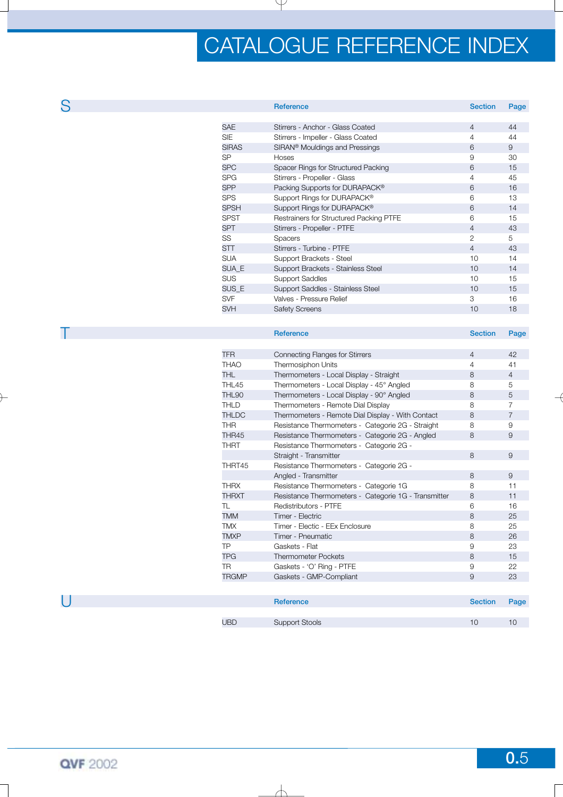| S |              | <b>Reference</b>                           | <b>Section</b> | Page |
|---|--------------|--------------------------------------------|----------------|------|
|   |              |                                            |                |      |
|   | <b>SAE</b>   | Stirrers - Anchor - Glass Coated           | $\overline{4}$ | 44   |
|   | <b>SIE</b>   | Stirrers - Impeller - Glass Coated         | 4              | 44   |
|   | <b>SIRAS</b> | SIRAN <sup>®</sup> Mouldings and Pressings | 6              | 9    |
|   | <b>SP</b>    | Hoses                                      | 9              | 30   |
|   | <b>SPC</b>   | Spacer Rings for Structured Packing        | 6              | 15   |
|   | <b>SPG</b>   | Stirrers - Propeller - Glass               | 4              | 45   |
|   | <b>SPP</b>   | Packing Supports for DURAPACK®             | 6              | 16   |
|   | <b>SPS</b>   | Support Rings for DURAPACK®                | 6              | 13   |
|   | <b>SPSH</b>  | Support Rings for DURAPACK®                | 6              | 14   |
|   | <b>SPST</b>  | Restrainers for Structured Packing PTFE    | 6              | 15   |
|   | <b>SPT</b>   | Stirrers - Propeller - PTFE                | 4              | 43   |
|   | SS           | Spacers                                    | $\overline{2}$ | 5    |
|   | <b>STT</b>   | Stirrers - Turbine - PTFE                  | $\overline{4}$ | 43   |
|   | <b>SUA</b>   | Support Brackets - Steel                   | 10             | 14   |
|   | SUA_E        | Support Brackets - Stainless Steel         | 10             | 14   |
|   | <b>SUS</b>   | <b>Support Saddles</b>                     | 10             | 15   |
|   | SUS_E        | Support Saddles - Stainless Steel          | 10             | 15   |
|   | <b>SVF</b>   | Valves - Pressure Relief                   | 3              | 16   |
|   | <b>SVH</b>   | <b>Safety Screens</b>                      | 10             | 18   |
|   |              |                                            |                |      |

|              | Reference                                            | <b>Section</b> | Page           |
|--------------|------------------------------------------------------|----------------|----------------|
|              |                                                      |                |                |
| <b>TFR</b>   | <b>Connecting Flanges for Stirrers</b>               | $\overline{4}$ | 42             |
| <b>THAO</b>  | Thermosiphon Units                                   | 4              | 41             |
| THL.         | Thermometers - Local Display - Straight              | 8              | $\overline{4}$ |
| THL45        | Thermometers - Local Display - 45° Angled            | 8              | 5              |
| THL90        | Thermometers - Local Display - 90° Angled            | 8              | 5              |
| <b>THLD</b>  | Thermometers - Remote Dial Display                   | 8              | $\overline{7}$ |
| <b>THLDC</b> | Thermometers - Remote Dial Display - With Contact    | 8              | $\overline{7}$ |
| <b>THR</b>   | Resistance Thermometers - Categorie 2G - Straight    | 8              | 9              |
| THR45        | Resistance Thermometers - Categorie 2G - Angled      | 8              | 9              |
| <b>THRT</b>  | Resistance Thermometers - Categorie 2G -             |                |                |
|              | Straight - Transmitter                               | 8              | 9              |
| THRT45       | Resistance Thermometers - Categorie 2G -             |                |                |
|              | Angled - Transmitter                                 | 8              | 9              |
| <b>THRX</b>  | Resistance Thermometers - Categorie 1G               | 8              | 11             |
| <b>THRXT</b> | Resistance Thermometers - Categorie 1G - Transmitter | 8              | 11             |
| TL           | Redistributors - PTFE                                | 6              | 16             |
| <b>TMM</b>   | Timer - Electric                                     | 8              | 25             |
| <b>TMX</b>   | Timer - Electic - EEx Enclosure                      | 8              | 25             |
| <b>TMXP</b>  | Timer - Pneumatic                                    | 8              | 26             |
| TP           | Gaskets - Flat                                       | 9              | 23             |
| <b>TPG</b>   | <b>Thermometer Pockets</b>                           | 8              | 15             |
| <b>TR</b>    | Gaskets - 'O' Ring - PTFE                            | 9              | 22             |
| <b>TRGMP</b> | Gaskets - GMP-Compliant                              | 9              | 23             |
|              |                                                      |                |                |
|              | <b>Reference</b>                                     | <b>Section</b> | Page           |
|              |                                                      |                |                |

UBD Support Stools 10 10 10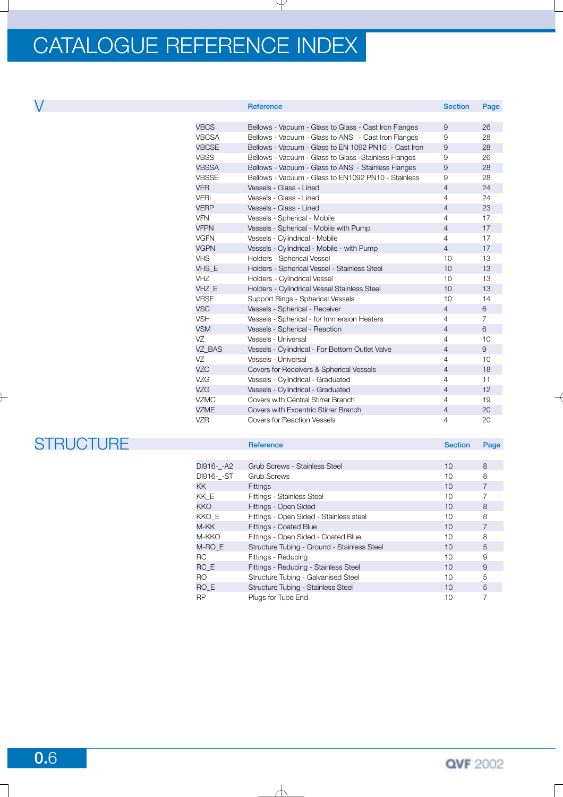|              | Reference                                             | <b>Section</b> | Page           |
|--------------|-------------------------------------------------------|----------------|----------------|
|              |                                                       |                |                |
| <b>VBCS</b>  | Bellows - Vacuum - Glass to Glass - Cast Iron Flanges | 9              | 26             |
| <b>VBCSA</b> | Bellows - Vacuum - Glass to ANSI - Cast Iron Flanges  | 9              | 28             |
| <b>VBCSE</b> | Bellows - Vacuum - Glass to EN 1092 PN10 - Cast Iron  | 9              | 28             |
| <b>VBSS</b>  | Bellows - Vacuum - Glass to Glass -Stainless Flanges  | 9              | 26             |
| <b>VBSSA</b> | Bellows - Vacuum - Glass to ANSI - Stainless Flanges  | 9              | 28             |
| <b>VBSSE</b> | Bellows - Vacuum - Glass to EN1092 PN10 - Stainless   | 9              | 28             |
| <b>VER</b>   | Vessels - Glass - Lined                               | $\overline{4}$ | 24             |
| <b>VERI</b>  | Vessels - Glass - Lined                               | $\overline{4}$ | 24             |
| <b>VERP</b>  | Vessels - Glass - Lined                               | $\overline{4}$ | 23             |
| <b>VFN</b>   | Vessels - Spherical - Mobile                          | $\overline{4}$ | 17             |
| <b>VFPN</b>  | Vessels - Spherical - Mobile with Pump                | $\overline{4}$ | 17             |
| <b>VGFN</b>  | Vessels - Cylindrical - Mobile                        | $\overline{4}$ | 17             |
| <b>VGPN</b>  | Vessels - Cylindrical - Mobile - with Pump            | $\overline{4}$ | 17             |
| <b>VHS</b>   | Holders - Spherical Vessel                            | 10             | 13             |
| VHS E        | Holders - Spherical Vessel - Stainless Steel          | 10             | 13             |
| <b>VHZ</b>   | Holders - Cylindrical Vessel                          | 10             | 13             |
| VHZ_E        | Holders - Cylindrical Vessel Stainless Steel          | 10             | 13             |
| <b>VRSE</b>  | Support Rings - Spherical Vessels                     | 10             | 14             |
| <b>VSC</b>   | Vessels - Spherical - Receiver                        | $\overline{4}$ | 6              |
| <b>VSH</b>   | Vessels - Spherical - for Immersion Heaters           | $\overline{4}$ | $\overline{7}$ |
| <b>VSM</b>   | Vessels - Spherical - Reaction                        | $\overline{4}$ | 6              |
| VZ           | Vessels - Universal                                   | 4              | 10             |
| VZ_BAS       | Vessels - Cylindrical - For Bottom Outlet Valve       | $\overline{4}$ | 9              |
| VZ           | Vessels - Universal                                   | $\overline{4}$ | 10             |
| <b>VZC</b>   | Covers for Receivers & Spherical Vessels              | $\overline{4}$ | 18             |
| <b>VZG</b>   | Vessels - Cylindrical - Graduated                     | $\overline{4}$ | 11             |
| <b>VZG</b>   | Vessels - Cylindrical - Graduated                     | $\overline{4}$ | 12             |
| <b>VZMC</b>  | Covers with Central Stirrer Branch                    | 4              | 19             |
| <b>VZME</b>  | Covers with Excentric Stirrer Branch                  | $\overline{4}$ | 20             |
| <b>VZR</b>   | Covers for Reaction Vessels                           | $\overline{4}$ | 20             |

| <b>STRUCTURE</b> |             | <b>Reference</b>                            | <b>Section</b>  | Page           |
|------------------|-------------|---------------------------------------------|-----------------|----------------|
|                  |             |                                             |                 |                |
|                  | DI916- - A2 | Grub Screws - Stainless Steel               | 10 <sup>°</sup> | 8              |
|                  | DI916- - ST | <b>Grub Screws</b>                          | 10              | 8              |
|                  | KK.         | <b>Fittings</b>                             | 10              | $\overline{7}$ |
|                  | KK_E        | Fittings - Stainless Steel                  | 10              |                |
|                  | <b>KKO</b>  | Fittings - Open Sided                       | 10              | 8              |
|                  | KKO E       | Fittings - Open Sided - Stainless steel     | 10              | 8              |
|                  | M-KK        | Fittings - Coated Blue                      | 10              | $\overline{7}$ |
|                  | M-KKO       | Fittings - Open Sided - Coated Blue         | 10              | 8              |
|                  | M-RO E      | Structure Tubing - Ground - Stainless Steel | 10              | 5              |
|                  | RC          | Fittings - Reducing                         | 10              | 9              |
|                  | RC E        | Fittings - Reducing - Stainless Steel       | 10              | 9              |
|                  | RO          | Structure Tubing - Galvanised Steel         | 10              | 5              |
|                  | RO E        | Structure Tubing - Stainless Steel          | 10              | 5              |
|                  | <b>RP</b>   | Plugs for Tube End                          | 10              | $\overline{7}$ |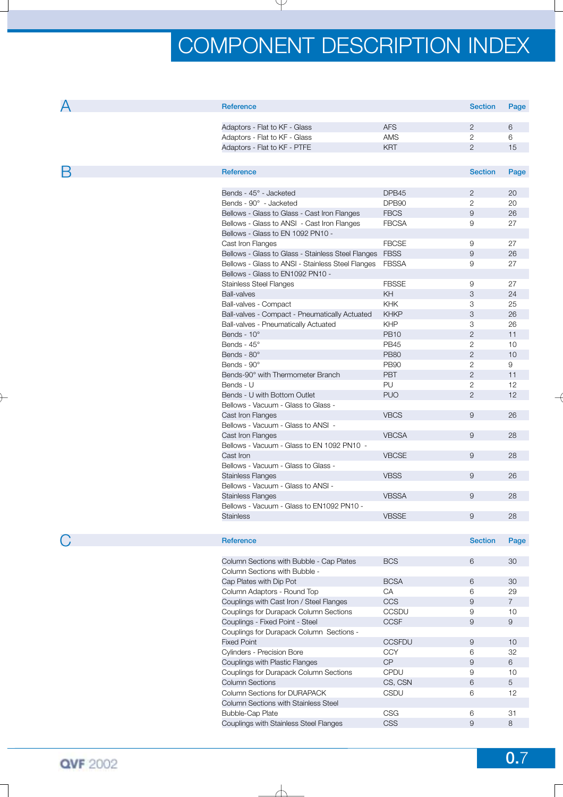| Α | Reference                                                |               | <b>Section</b> | Page           |
|---|----------------------------------------------------------|---------------|----------------|----------------|
|   |                                                          |               |                |                |
|   | Adaptors - Flat to KF - Glass                            | <b>AFS</b>    | $\overline{2}$ | 6              |
|   | Adaptors - Flat to KF - Glass                            | AMS           | 2              | 6              |
|   | Adaptors - Flat to KF - PTFE                             | <b>KRT</b>    | 2              | 15             |
|   |                                                          |               |                |                |
| В | Reference                                                |               | <b>Section</b> | Page           |
|   | Bends - 45° - Jacketed                                   | DPB45         | $\overline{2}$ | 20             |
|   | Bends - 90° - Jacketed                                   |               |                |                |
|   |                                                          | DPB90         | $\overline{2}$ | 20             |
|   | Bellows - Glass to Glass - Cast Iron Flanges             | <b>FBCS</b>   | $\overline{9}$ | 26             |
|   | Bellows - Glass to ANSI - Cast Iron Flanges              | <b>FBCSA</b>  | 9              | 27             |
|   | Bellows - Glass to EN 1092 PN10 -                        |               |                |                |
|   | Cast Iron Flanges                                        | <b>FBCSE</b>  | 9              | 27             |
|   | Bellows - Glass to Glass - Stainless Steel Flanges  FBSS |               | $\overline{9}$ | 26             |
|   | Bellows - Glass to ANSI - Stainless Steel Flanges        | <b>FBSSA</b>  | 9              | 27             |
|   | Bellows - Glass to EN1092 PN10 -                         |               |                |                |
|   | <b>Stainless Steel Flanges</b>                           | <b>FBSSE</b>  | 9              | 27             |
|   | <b>Ball-valves</b>                                       | KH            | 3              | 24             |
|   | Ball-valves - Compact                                    | <b>KHK</b>    | 3              | 25             |
|   | Ball-valves - Compact - Pneumatically Actuated           | <b>KHKP</b>   | 3              | 26             |
|   | Ball-valves - Pneumatically Actuated                     | KHP           | 3              | 26             |
|   | Bends - 10°                                              | <b>PB10</b>   | $\overline{2}$ | 11             |
|   | Bends - 45°                                              | <b>PB45</b>   | $\overline{2}$ | 10             |
|   | Bends - 80°                                              | <b>PB80</b>   | 2              | 10             |
|   | Bends - 90°                                              | <b>PB90</b>   | $\overline{2}$ | 9              |
|   | Bends-90° with Thermometer Branch                        | <b>PBT</b>    | 2              | 11             |
|   | Bends - U                                                | PU            | $\mathbf{2}$   | 12             |
|   | Bends - U with Bottom Outlet                             | <b>PUO</b>    | 2              | 12             |
|   |                                                          |               |                |                |
|   | Bellows - Vacuum - Glass to Glass -                      | <b>VBCS</b>   | $\overline{9}$ |                |
|   | Cast Iron Flanges                                        |               |                | 26             |
|   | Bellows - Vacuum - Glass to ANSI -                       |               |                |                |
|   | Cast Iron Flanges                                        | <b>VBCSA</b>  | $\overline{9}$ | 28             |
|   | Bellows - Vacuum - Glass to EN 1092 PN10 -               |               |                |                |
|   | Cast Iron                                                | <b>VBCSE</b>  | 9              | 28             |
|   | Bellows - Vacuum - Glass to Glass -                      |               |                |                |
|   | <b>Stainless Flanges</b>                                 | <b>VBSS</b>   | $\overline{9}$ | 26             |
|   | Bellows - Vacuum - Glass to ANSI -                       |               |                |                |
|   | <b>Stainless Flanges</b>                                 | <b>VBSSA</b>  | 9              | 28             |
|   | Bellows - Vacuum - Glass to EN1092 PN10 -                |               |                |                |
|   | <b>Stainless</b>                                         | <b>VBSSE</b>  | 9              | 28             |
|   |                                                          |               |                |                |
|   | Reference                                                |               | <b>Section</b> | Page           |
|   |                                                          |               |                |                |
|   |                                                          | <b>BCS</b>    | 6              | 30             |
|   | Column Sections with Bubble - Cap Plates                 |               |                |                |
|   | Column Sections with Bubble -                            |               |                |                |
|   | Cap Plates with Dip Pot                                  | <b>BCSA</b>   | 6              | 30             |
|   | Column Adaptors - Round Top                              | CA            | 6              | 29             |
|   | Couplings with Cast Iron / Steel Flanges                 | <b>CCS</b>    | $\overline{9}$ | $\overline{7}$ |
|   | Couplings for Durapack Column Sections                   | CCSDU         | 9              | 10             |
|   | Couplings - Fixed Point - Steel                          | <b>CCSF</b>   | $\overline{9}$ | 9              |
|   | Couplings for Durapack Column Sections -                 |               |                |                |
|   | <b>Fixed Point</b>                                       | <b>CCSFDU</b> | 9              | 10             |
|   | Cylinders - Precision Bore                               | <b>CCY</b>    | 6              | 32             |
|   | Couplings with Plastic Flanges                           | CP            | $\overline{9}$ | 6              |
|   | Couplings for Durapack Column Sections                   | <b>CPDU</b>   | 9              | 10             |
|   | <b>Column Sections</b>                                   | CS, CSN       | 6              | 5              |
|   | <b>Column Sections for DURAPACK</b>                      | <b>CSDU</b>   | 6              | 12             |
|   | Column Sections with Stainless Steel                     |               |                |                |
|   | <b>Bubble-Cap Plate</b>                                  | <b>CSG</b>    | 6              | 31             |
|   | Couplings with Stainless Steel Flanges                   | <b>CSS</b>    | $\overline{9}$ | 8              |
|   |                                                          |               |                |                |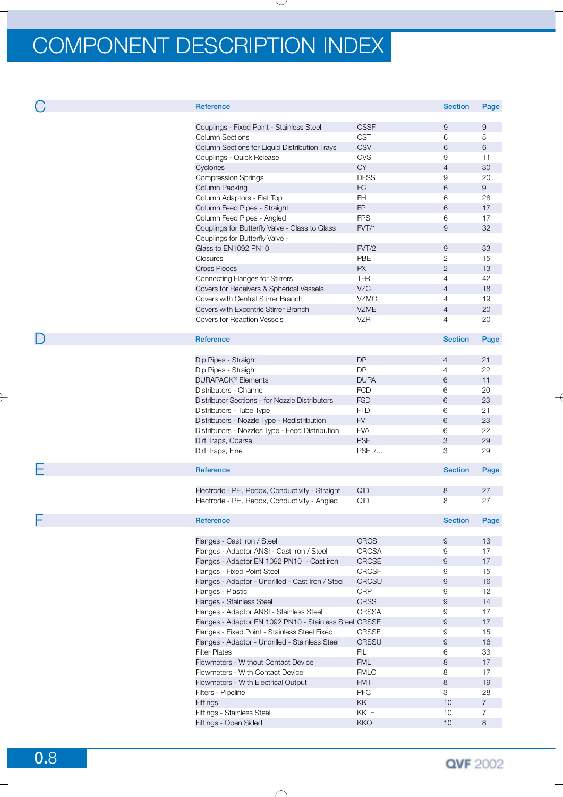| Reference                                              |              | <b>Section</b>   | Page           |
|--------------------------------------------------------|--------------|------------------|----------------|
|                                                        |              |                  |                |
| Couplings - Fixed Point - Stainless Steel              | <b>CSSF</b>  | 9                | 9              |
| <b>Column Sections</b>                                 | <b>CST</b>   | 6                | 5              |
| Column Sections for Liquid Distribution Trays          | <b>CSV</b>   | 6                | 6              |
| Couplings - Quick Release                              | <b>CVS</b>   | 9                | 11             |
| Cyclones                                               | <b>CY</b>    | $\overline{4}$   | 30             |
| <b>Compression Springs</b>                             | <b>DFSS</b>  | 9                | 20             |
|                                                        |              |                  |                |
| Column Packing                                         | <b>FC</b>    | 6                | 9              |
| Column Adaptors - Flat Top                             | FH           | 6                | 28             |
| Column Feed Pipes - Straight                           | FP           | 6                | 17             |
| Column Feed Pipes - Angled                             | <b>FPS</b>   | 6                | 17             |
| Couplings for Butterfly Valve - Glass to Glass         | FVT/1        | 9                | 32             |
| Couplings for Butterfly Valve -                        |              |                  |                |
| Glass to EN1092 PN10                                   | FVT/2        | 9                | 33             |
| Closures                                               | PBE          | $\mathbf{2}$     | 15             |
| <b>Cross Pieces</b>                                    | <b>PX</b>    | $\mathbf{2}$     | 13             |
| Connecting Flanges for Stirrers                        | TFR          | $\overline{4}$   | 42             |
| Covers for Receivers & Spherical Vessels               | VZC          | $\overline{4}$   | 18             |
| Covers with Central Stirrer Branch                     | <b>VZMC</b>  | $\overline{4}$   | 19             |
| Covers with Excentric Stirrer Branch                   | <b>VZME</b>  | $\overline{4}$   | 20             |
| <b>Covers for Reaction Vessels</b>                     | VZR          | $\overline{4}$   | 20             |
|                                                        |              |                  |                |
| <b>Reference</b>                                       |              | <b>Section</b>   | Page           |
|                                                        |              |                  |                |
|                                                        |              |                  |                |
| Dip Pipes - Straight                                   | <b>DP</b>    | $\overline{4}$   | 21             |
| Dip Pipes - Straight                                   | <b>DP</b>    | $\overline{4}$   | 22             |
| <b>DURAPACK<sup>®</sup></b> Elements                   | <b>DUPA</b>  | 6                | 11             |
| Distributors - Channel                                 | <b>FCD</b>   | 6                | 20             |
| Distributor Sections - for Nozzle Distributors         | <b>FSD</b>   | 6                | 23             |
| Distributors - Tube Type                               | <b>FTD</b>   | 6                | 21             |
| Distributors - Nozzle Type - Redistribution            | <b>FV</b>    | 6                | 23             |
| Distributors - Nozzles Type - Feed Distribution        | <b>FVA</b>   | 6                | 22             |
| Dirt Traps, Coarse                                     | <b>PSF</b>   | 3                | 29             |
| Dirt Traps, Fine                                       | $PSF$        | 3                | 29             |
|                                                        |              |                  |                |
| <b>Reference</b>                                       |              | <b>Section</b>   | Page           |
|                                                        |              |                  |                |
| Electrode - PH, Redox, Conductivity - Straight         | QID          | 8                | 27             |
| Electrode - PH, Redox, Conductivity - Angled           | QID          | 8                | 27             |
|                                                        |              |                  |                |
| Reference                                              |              | <b>Section</b>   | Page           |
|                                                        |              |                  |                |
| Flanges - Cast Iron / Steel                            | <b>CRCS</b>  | 9                | 13             |
| Flanges - Adaptor ANSI - Cast Iron / Steel             | <b>CRCSA</b> | $\hbox{9}$       | 17             |
| Flanges - Adaptor EN 1092 PN10 - Cast iron             | CRCSE        | $\hbox{9}$       | 17             |
| Flanges - Fixed Point Steel                            | CRCSF        | 9                | 15             |
| Flanges - Adaptor - Undrilled - Cast Iron / Steel      | <b>CRCSU</b> | $\boldsymbol{9}$ | 16             |
| Flanges - Plastic                                      | <b>CRP</b>   | 9                |                |
|                                                        |              |                  | 12             |
| Flanges - Stainless Steel                              | <b>CRSS</b>  | $\boldsymbol{9}$ | 14             |
| Flanges - Adaptor ANSI - Stainless Steel               | CRSSA        | 9                | 17             |
| Flanges - Adaptor EN 1092 PN10 - Stainless Steel CRSSE |              | $\overline{9}$   | 17             |
| Flanges - Fixed Point - Stainless Steel Fixed          | CRSSF        | $\mathsf g$      | 15             |
| Flanges - Adaptor - Undrilled - Stainless Steel        | <b>CRSSU</b> | $\boldsymbol{9}$ | 16             |
| <b>Filter Plates</b>                                   | <b>FIL</b>   | $\,6\,$          | 33             |
| Flowmeters - Without Contact Device                    | <b>FML</b>   | $\,8\,$          | 17             |
| Flowmeters - With Contact Device                       | <b>FMLC</b>  | 8                | 17             |
| Flowmeters - With Electrical Output                    | <b>FMT</b>   | 8                | 19             |
| Filters - Pipeline                                     | <b>PFC</b>   | 3                | 28             |
| Fittings                                               | <b>KK</b>    | 10               | $\overline{7}$ |
| Fittings - Stainless Steel                             | KK_E         | 10               | 7              |
| Fittings - Open Sided                                  | KKO          | 10               | 8              |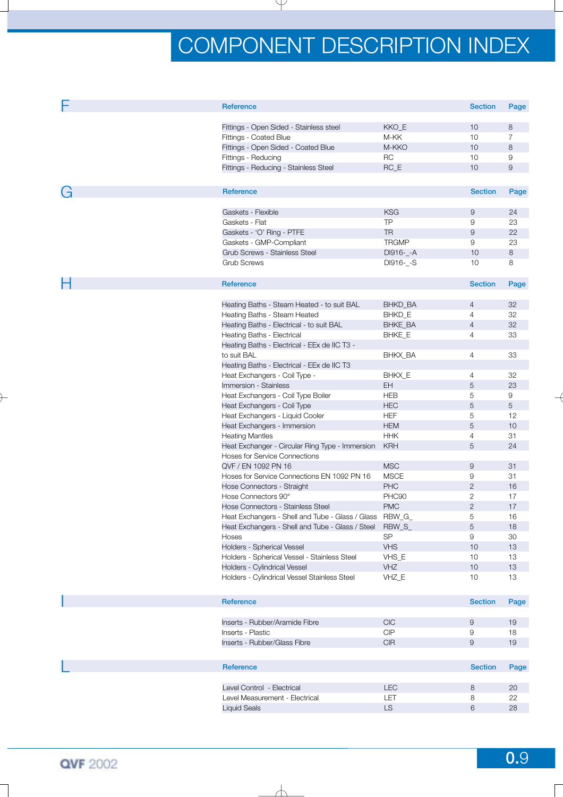|   | <b>Reference</b>                                                             |                                                   | <b>Section</b> | Page           |
|---|------------------------------------------------------------------------------|---------------------------------------------------|----------------|----------------|
|   | Fittings - Open Sided - Stainless steel                                      | KKO_E                                             | 10             | 8              |
|   | Fittings - Coated Blue                                                       | M-KK                                              | 10             | $\overline{7}$ |
|   | Fittings - Open Sided - Coated Blue                                          | M-KKO                                             | 10             | 8              |
|   | Fittings - Reducing                                                          | <b>RC</b>                                         | 10             | 9              |
|   | Fittings - Reducing - Stainless Steel                                        | $RC_E$                                            | 10             | 9              |
|   |                                                                              |                                                   |                |                |
|   | Reference                                                                    |                                                   | <b>Section</b> | Page           |
| G |                                                                              |                                                   |                |                |
|   | Gaskets - Flexible                                                           | <b>KSG</b>                                        | 9              | 24             |
|   | Gaskets - Flat                                                               | <b>TP</b>                                         | 9              | 23             |
|   | Gaskets - 'O' Ring - PTFE                                                    | <b>TR</b>                                         | 9              | 22             |
|   | Gaskets - GMP-Compliant                                                      | <b>TRGMP</b>                                      | 9              | 23             |
|   | Grub Screws - Stainless Steel                                                | DI916-_-A                                         | 10             | 8              |
|   | <b>Grub Screws</b>                                                           | DI916-_-S                                         | 10             | 8              |
|   |                                                                              |                                                   |                |                |
| п | Reference                                                                    |                                                   | <b>Section</b> | Page           |
|   |                                                                              |                                                   |                |                |
|   | Heating Baths - Steam Heated - to suit BAL<br>Heating Baths - Steam Heated   | BHKD_BA                                           | 4<br>4         | 32<br>32       |
|   | Heating Baths - Electrical - to suit BAL                                     | BHKD_E<br><b>BHKE_BA</b>                          | $\overline{4}$ | 32             |
|   | Heating Baths - Electrical                                                   |                                                   | $\overline{4}$ | 33             |
|   |                                                                              | BHKE_E                                            |                |                |
|   | Heating Baths - Electrical - EEx de IIC T3 -                                 | BHKX_BA                                           | $\overline{4}$ | 33             |
|   | to suit BAL                                                                  |                                                   |                |                |
|   | Heating Baths - Electrical - EEx de IIC T3                                   |                                                   |                | 32             |
|   | Heat Exchangers - Coil Type -                                                | BHKX_E                                            | 4              |                |
|   | Immersion - Stainless                                                        | EH.                                               | 5              | 23             |
|   | Heat Exchangers - Coil Type Boiler                                           | <b>HEB</b>                                        | 5              | 9              |
|   | Heat Exchangers - Coil Type                                                  | <b>HEC</b>                                        | 5              | 5              |
|   | Heat Exchangers - Liquid Cooler                                              | <b>HEF</b>                                        | 5              | 12             |
|   | Heat Exchangers - Immersion                                                  | <b>HEM</b>                                        | 5              | 10             |
|   | <b>Heating Mantles</b>                                                       | <b>HHK</b>                                        | 4              | 31             |
|   | Heat Exchanger - Circular Ring Type - Immersion                              | <b>KRH</b>                                        | 5              | 24             |
|   | <b>Hoses for Service Connections</b>                                         |                                                   |                |                |
|   | QVF / EN 1092 PN 16                                                          | <b>MSC</b>                                        | 9              | 31             |
|   | Hoses for Service Connections EN 1092 PN 16                                  | <b>MSCE</b>                                       | 9              | 31             |
|   | Hose Connectors - Straight                                                   | PHC                                               | $\overline{2}$ | 16             |
|   | Hose Connectors 90°                                                          | PHC90                                             | $\mathbf{2}$   | 17             |
|   | Hose Connectors - Stainless Steel                                            | <b>PMC</b>                                        | $\overline{2}$ | 17             |
|   | Heat Exchangers - Shell and Tube - Glass / Glass RBW_G_                      |                                                   | 5              | 16             |
|   | Heat Exchangers - Shell and Tube - Glass / Steel RBW_S_                      |                                                   | 5              | 18             |
|   | Hoses                                                                        | <b>SP</b>                                         | 9              | 30             |
|   | Holders - Spherical Vessel                                                   | <b>VHS</b>                                        | 10<br>10       | 13<br>13       |
|   | Holders - Spherical Vessel - Stainless Steel                                 | VHS_E<br>VHZ                                      | 10             | $13$           |
|   | Holders - Cylindrical Vessel<br>Holders - Cylindrical Vessel Stainless Steel | VHZ_E                                             | 10             | 13             |
|   |                                                                              |                                                   |                |                |
|   | Reference                                                                    |                                                   | <b>Section</b> | Page           |
|   |                                                                              |                                                   |                |                |
|   | Inserts - Rubber/Aramide Fibre                                               | <b>CIC</b>                                        | 9              | 19             |
|   | Inserts - Plastic                                                            | CIP                                               | 9              | 18             |
|   | Inserts - Rubber/Glass Fibre                                                 | $\ensuremath{\mathsf{C}}\ensuremath{\mathsf{IR}}$ | $\mathsf g$    | 19             |
|   |                                                                              |                                                   |                |                |
|   | Reference                                                                    |                                                   | <b>Section</b> | Page           |
|   |                                                                              |                                                   |                |                |
|   | Level Control - Electrical                                                   | <b>LEC</b>                                        | 8              | 20             |
|   | Level Measurement - Electrical                                               | LET                                               | 8              | 22             |
|   | <b>Liquid Seals</b>                                                          | <b>LS</b>                                         | 6              | 28             |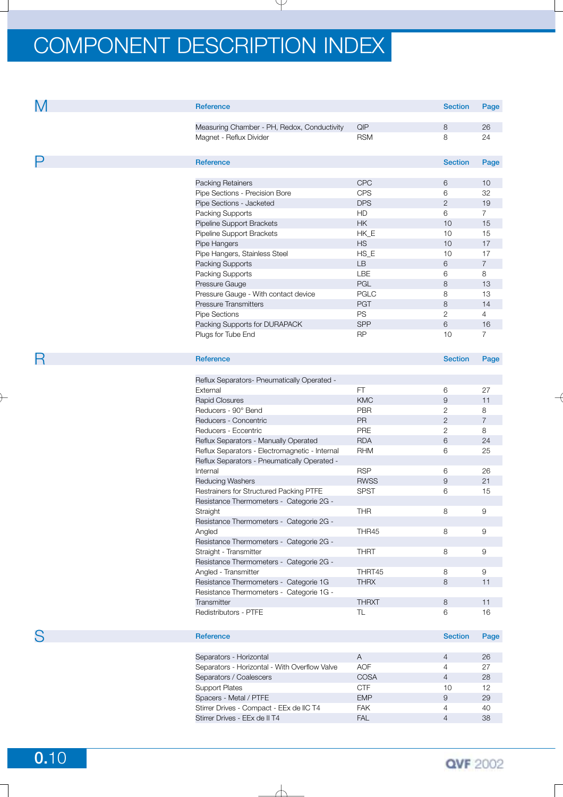| M | Reference                                      |                         | <b>Section</b> | Page           |
|---|------------------------------------------------|-------------------------|----------------|----------------|
|   | Measuring Chamber - PH, Redox, Conductivity    | QIP                     | 8              | 26             |
|   |                                                | <b>RSM</b>              | 8              | 24             |
|   | Magnet - Reflux Divider                        |                         |                |                |
| Ρ | Reference                                      |                         | <b>Section</b> | Page           |
|   |                                                |                         |                |                |
|   | Packing Retainers                              | <b>CPC</b>              | 6              | 10             |
|   | Pipe Sections - Precision Bore                 | <b>CPS</b>              | 6              | 32             |
|   | Pipe Sections - Jacketed                       | <b>DPS</b>              | $\mathbf{2}$   | 19             |
|   | Packing Supports                               | <b>HD</b>               | 6              | $\overline{7}$ |
|   | Pipeline Support Brackets                      | $\mathsf{HK}$           | 10             | 15             |
|   | Pipeline Support Brackets                      | HK_E                    | 10             | 15             |
|   | Pipe Hangers                                   | <b>HS</b>               | 10             | 17             |
|   | Pipe Hangers, Stainless Steel                  | $HS_E$                  | 10             | 17             |
|   | Packing Supports                               | LB                      | 6              | $\overline{7}$ |
|   | Packing Supports                               | LBE                     | 6              | 8              |
|   | Pressure Gauge                                 | PGL                     | 8              | 13             |
|   | Pressure Gauge - With contact device           | <b>PGLC</b>             | 8              | 13             |
|   | <b>Pressure Transmitters</b>                   |                         | 8              | 14             |
|   |                                                | <b>PGT</b><br><b>PS</b> |                |                |
|   | <b>Pipe Sections</b>                           |                         | $\overline{2}$ | $\overline{4}$ |
|   | Packing Supports for DURAPACK                  | <b>SPP</b>              | 6              | 16             |
|   | Plugs for Tube End                             | <b>RP</b>               | 10             | $\overline{7}$ |
| R | Reference                                      |                         | <b>Section</b> | Page           |
|   |                                                |                         |                |                |
|   | Reflux Separators- Pneumatically Operated -    |                         |                |                |
|   | External                                       | FT                      | 6              | 27             |
|   | <b>Rapid Closures</b>                          | <b>KMC</b>              | 9              | 11             |
|   | Reducers - 90° Bend                            | <b>PBR</b>              | $\overline{c}$ | 8              |
|   | Reducers - Concentric                          | PR                      | $\overline{2}$ | $\overline{7}$ |
|   | Reducers - Eccentric                           | PRE                     | $\overline{2}$ | 8              |
|   | Reflux Separators - Manually Operated          | <b>RDA</b>              | 6              | 24             |
|   | Reflux Separators - Electromagnetic - Internal | <b>RHM</b>              | 6              | 25             |
|   | Reflux Separators - Pneumatically Operated -   |                         |                |                |
|   | Internal                                       | <b>RSP</b>              | 6              | 26             |
|   | Reducing Washers                               | <b>RWSS</b>             | 9              | 21             |
|   | Restrainers for Structured Packing PTFE        | <b>SPST</b>             | 6              | 15             |
|   | Resistance Thermometers - Categorie 2G -       |                         |                |                |
|   | Straight                                       | <b>THR</b>              | 8              | 9              |
|   | Resistance Thermometers - Categorie 2G -       |                         |                |                |
|   | Angled                                         | THR45                   | 8              | $\hbox{9}$     |
|   | Resistance Thermometers - Categorie 2G -       |                         |                |                |
|   |                                                |                         |                |                |
|   | Straight - Transmitter                         | <b>THRT</b>             | 8              | 9              |
|   | Resistance Thermometers - Categorie 2G -       |                         |                |                |
|   | Angled - Transmitter                           | THRT45                  | 8              | 9              |
|   | Resistance Thermometers - Categorie 1G         | <b>THRX</b>             | 8              | 11             |
|   | Resistance Thermometers - Categorie 1G -       |                         |                |                |
|   | Transmitter                                    | <b>THRXT</b>            | 8              | 11             |
|   | Redistributors - PTFE                          | TL                      | 6              | 16             |
| S | <b>Reference</b>                               |                         | <b>Section</b> | Page           |
|   |                                                |                         |                |                |
|   | Separators - Horizontal                        | A                       | 4              | 26             |
|   | Separators - Horizontal - With Overflow Valve  | <b>AOF</b>              | $\overline{4}$ | 27             |
|   | Separators / Coalescers                        | <b>COSA</b>             | $\overline{4}$ | 28             |
|   | <b>Support Plates</b>                          | <b>CTF</b>              | 10             | 12             |
|   | Spacers - Metal / PTFE                         | <b>EMP</b>              | 9              | 29             |
|   | Stirrer Drives - Compact - EEx de IIC T4       | FAK                     | $\overline{4}$ | 40             |
|   | Stirrer Drives - EEx de II T4                  | <b>FAL</b>              | $\overline{4}$ | 38             |
|   |                                                |                         |                |                |

**0.**10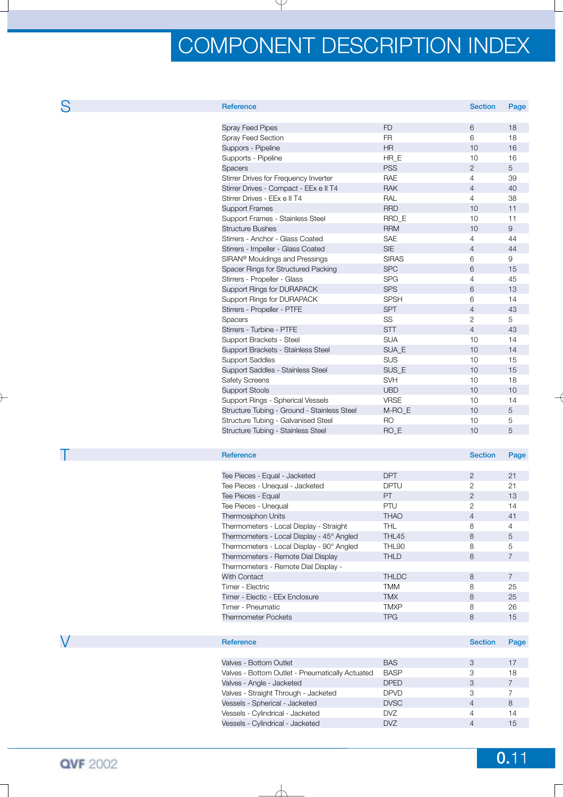| 43 | ۰. |
|----|----|

| <b>Reference</b>                            |              | <b>Section</b> | Page |
|---------------------------------------------|--------------|----------------|------|
|                                             |              |                |      |
| <b>Spray Feed Pipes</b>                     | <b>FD</b>    | 6              | 18   |
| Spray Feed Section                          | <b>FR</b>    | 6              | 18   |
| Suppors - Pipeline                          | <b>HR</b>    | 10             | 16   |
| Supports - Pipeline                         | HR E         | 10             | 16   |
| <b>Spacers</b>                              | <b>PSS</b>   | $\overline{2}$ | 5    |
| Stirrer Drives for Frequency Inverter       | <b>RAE</b>   | $\overline{4}$ | 39   |
| Stirrer Drives - Compact - EEx e II T4      | <b>RAK</b>   | $\overline{4}$ | 40   |
| Stirrer Drives - EEx e II T4                | RAL          | $\overline{4}$ | 38   |
| <b>Support Frames</b>                       | <b>RRD</b>   | 10             | 11   |
| Support Frames - Stainless Steel            | RRD E        | 10             | 11   |
| <b>Structure Bushes</b>                     | <b>RRM</b>   | 10             | 9    |
| Stirrers - Anchor - Glass Coated            | <b>SAE</b>   | $\overline{4}$ | 44   |
| Stirrers - Impeller - Glass Coated          | <b>SIE</b>   | $\overline{4}$ | 44   |
| SIRAN <sup>®</sup> Mouldings and Pressings  | <b>SIRAS</b> | 6              | 9    |
| Spacer Rings for Structured Packing         | <b>SPC</b>   | 6              | 15   |
| Stirrers - Propeller - Glass                | <b>SPG</b>   | $\overline{4}$ | 45   |
| Support Rings for DURAPACK                  | <b>SPS</b>   | 6              | 13   |
| Support Rings for DURAPACK                  | <b>SPSH</b>  | 6              | 14   |
| Stirrers - Propeller - PTFE                 | <b>SPT</b>   | $\overline{4}$ | 43   |
| Spacers                                     | SS           | $\overline{2}$ | 5    |
| Stirrers - Turbine - PTFE                   | <b>STT</b>   | $\overline{4}$ | 43   |
| Support Brackets - Steel                    | <b>SUA</b>   | 10             | 14   |
| Support Brackets - Stainless Steel          | SUA E        | 10             | 14   |
| <b>Support Saddles</b>                      | <b>SUS</b>   | 10             | 15   |
| Support Saddles - Stainless Steel           | SUS E        | 10             | 15   |
| <b>Safety Screens</b>                       | <b>SVH</b>   | 10             | 18   |
| <b>Support Stools</b>                       | <b>UBD</b>   | 10             | 10   |
| Support Rings - Spherical Vessels           | <b>VRSE</b>  | 10             | 14   |
| Structure Tubing - Ground - Stainless Steel | M-RO E       | 10             | 5    |
| Structure Tubing - Galvanised Steel         | <b>RO</b>    | 10             | 5    |
| Structure Tubing - Stainless Steel          | RO_E         | 10             | 5    |
|                                             |              |                |      |

| Reference                                 |              | <b>Section</b> | Page           |
|-------------------------------------------|--------------|----------------|----------------|
|                                           |              |                |                |
| Tee Pieces - Equal - Jacketed             | <b>DPT</b>   | 2              | 21             |
| Tee Pieces - Unequal - Jacketed           | <b>DPTU</b>  | 2              | 21             |
| Tee Pieces - Equal                        | PT.          | $\overline{2}$ | 13             |
| Tee Pieces - Unequal                      | <b>PTU</b>   | $\overline{c}$ | 14             |
| <b>Thermosiphon Units</b>                 | <b>THAO</b>  | 4              | 41             |
| Thermometers - Local Display - Straight   | THL          | 8              | 4              |
| Thermometers - Local Display - 45° Angled | THL45        | 8              | 5              |
| Thermometers - Local Display - 90° Angled | THL90        | 8              | 5              |
| Thermometers - Remote Dial Display        | <b>THLD</b>  | 8              | $\overline{7}$ |
| Thermometers - Remote Dial Display -      |              |                |                |
| <b>With Contact</b>                       | <b>THLDC</b> | 8              | $\overline{7}$ |
| Timer - Electric                          | TMM          | 8              | 25             |
| Timer - Electic - EEx Enclosure           | <b>TMX</b>   | 8              | 25             |
| Timer - Pneumatic                         | <b>TMXP</b>  | 8              | 26             |
| <b>Thermometer Pockets</b>                | <b>TPG</b>   | 8              | 15             |
|                                           |              |                |                |

| Reference                                       |             | <b>Section</b> | Page |
|-------------------------------------------------|-------------|----------------|------|
|                                                 |             |                |      |
| Valves - Bottom Outlet                          | <b>BAS</b>  |                | 17   |
| Valves - Bottom Outlet - Pneumatically Actuated | <b>BASP</b> |                | 18   |
| Valves - Angle - Jacketed                       | <b>DPED</b> | 3              |      |
| Valves - Straight Through - Jacketed            | <b>DPVD</b> |                |      |
| Vessels - Spherical - Jacketed                  | <b>DVSC</b> | 4              | 8    |
| Vessels - Cylindrical - Jacketed                | <b>DVZ</b>  | 4              | 14   |
| Vessels - Cylindrical - Jacketed                | <b>DVZ</b>  |                | 15   |
|                                                 |             |                |      |